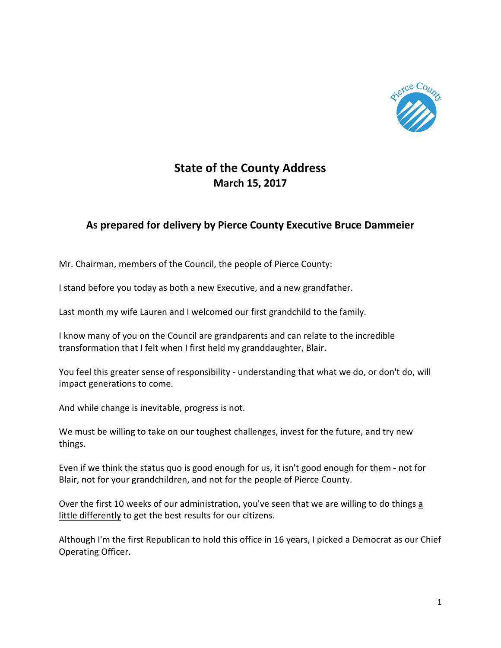

## **State of the County Address March 15, 2017**

## **As prepared for delivery by Pierce County Executive Bruce Dammeier**

Mr. Chairman, members of the Council, the people of Pierce County:

I stand before you today as both a new Executive, and a new grandfather.

Last month my wife Lauren and I welcomed our first grandchild to the family.

I know many of you on the Council are grandparents and can relate to the incredible transformation that I felt when I first held my granddaughter, Blair.

You feel this greater sense of responsibility - understanding that what we do, or don't do, will impact generations to come.

And while change is inevitable, progress is not.

We must be willing to take on our toughest challenges, invest for the future, and try new things.

Even if we think the status quo is good enough for us, it isn't good enough for them - not for Blair, not for your grandchildren, and not for the people of Pierce County.

Over the first 10 weeks of our administration, you've seen that we are willing to do things a little differently to get the best results for our citizens.

Although I'm the first Republican to hold this office in 16 years, I picked a Democrat as our Chief Operating Officer.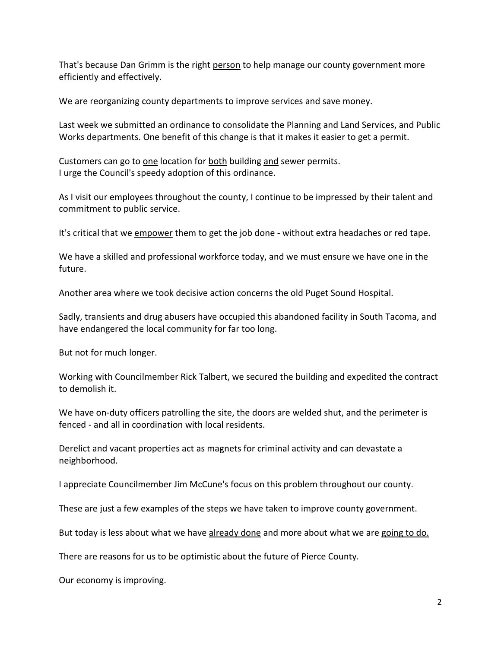That's because Dan Grimm is the right person to help manage our county government more efficiently and effectively.

We are reorganizing county departments to improve services and save money.

Last week we submitted an ordinance to consolidate the Planning and Land Services, and Public Works departments. One benefit of this change is that it makes it easier to get a permit.

Customers can go to one location for both building and sewer permits. I urge the Council's speedy adoption of this ordinance.

As I visit our employees throughout the county, I continue to be impressed by their talent and commitment to public service.

It's critical that we empower them to get the job done - without extra headaches or red tape.

We have a skilled and professional workforce today, and we must ensure we have one in the future.

Another area where we took decisive action concerns the old Puget Sound Hospital.

Sadly, transients and drug abusers have occupied this abandoned facility in South Tacoma, and have endangered the local community for far too long.

But not for much longer.

Working with Councilmember Rick Talbert, we secured the building and expedited the contract to demolish it.

We have on-duty officers patrolling the site, the doors are welded shut, and the perimeter is fenced - and all in coordination with local residents.

Derelict and vacant properties act as magnets for criminal activity and can devastate a neighborhood.

I appreciate Councilmember Jim McCune's focus on this problem throughout our county.

These are just a few examples of the steps we have taken to improve county government.

But today is less about what we have already done and more about what we are going to do.

There are reasons for us to be optimistic about the future of Pierce County.

Our economy is improving.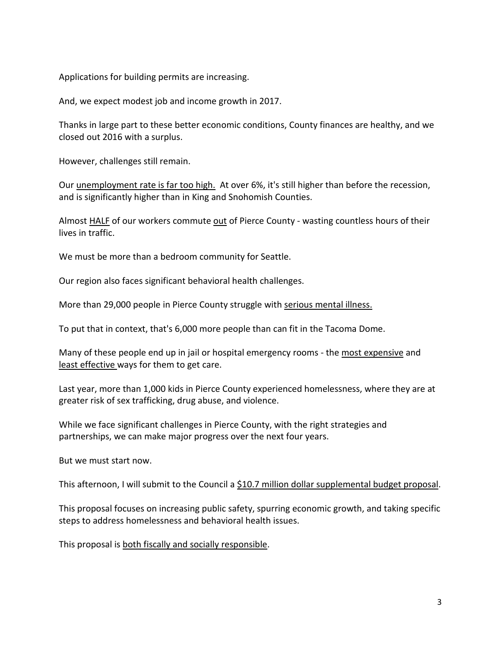Applications for building permits are increasing.

And, we expect modest job and income growth in 2017.

Thanks in large part to these better economic conditions, County finances are healthy, and we closed out 2016 with a surplus.

However, challenges still remain.

Our unemployment rate is far too high. At over 6%, it's still higher than before the recession, and is significantly higher than in King and Snohomish Counties.

Almost HALF of our workers commute out of Pierce County - wasting countless hours of their lives in traffic.

We must be more than a bedroom community for Seattle.

Our region also faces significant behavioral health challenges.

More than 29,000 people in Pierce County struggle with serious mental illness.

To put that in context, that's 6,000 more people than can fit in the Tacoma Dome.

Many of these people end up in jail or hospital emergency rooms - the most expensive and least effective ways for them to get care.

Last year, more than 1,000 kids in Pierce County experienced homelessness, where they are at greater risk of sex trafficking, drug abuse, and violence.

While we face significant challenges in Pierce County, with the right strategies and partnerships, we can make major progress over the next four years.

But we must start now.

This afternoon, I will submit to the Council a \$10.7 million dollar supplemental budget proposal.

This proposal focuses on increasing public safety, spurring economic growth, and taking specific steps to address homelessness and behavioral health issues.

This proposal is both fiscally and socially responsible.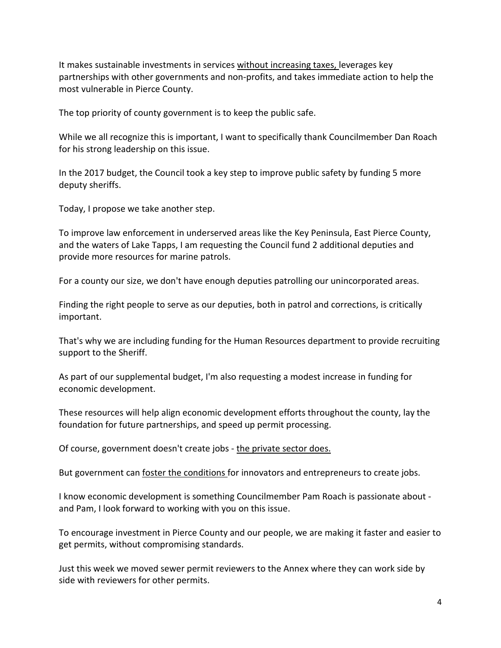It makes sustainable investments in services without increasing taxes, leverages key partnerships with other governments and non-profits, and takes immediate action to help the most vulnerable in Pierce County.

The top priority of county government is to keep the public safe.

While we all recognize this is important, I want to specifically thank Councilmember Dan Roach for his strong leadership on this issue.

In the 2017 budget, the Council took a key step to improve public safety by funding 5 more deputy sheriffs.

Today, I propose we take another step.

To improve law enforcement in underserved areas like the Key Peninsula, East Pierce County, and the waters of Lake Tapps, I am requesting the Council fund 2 additional deputies and provide more resources for marine patrols.

For a county our size, we don't have enough deputies patrolling our unincorporated areas.

Finding the right people to serve as our deputies, both in patrol and corrections, is critically important.

That's why we are including funding for the Human Resources department to provide recruiting support to the Sheriff.

As part of our supplemental budget, I'm also requesting a modest increase in funding for economic development.

These resources will help align economic development efforts throughout the county, lay the foundation for future partnerships, and speed up permit processing.

Of course, government doesn't create jobs - the private sector does.

But government can foster the conditions for innovators and entrepreneurs to create jobs.

I know economic development is something Councilmember Pam Roach is passionate about and Pam, I look forward to working with you on this issue.

To encourage investment in Pierce County and our people, we are making it faster and easier to get permits, without compromising standards.

Just this week we moved sewer permit reviewers to the Annex where they can work side by side with reviewers for other permits.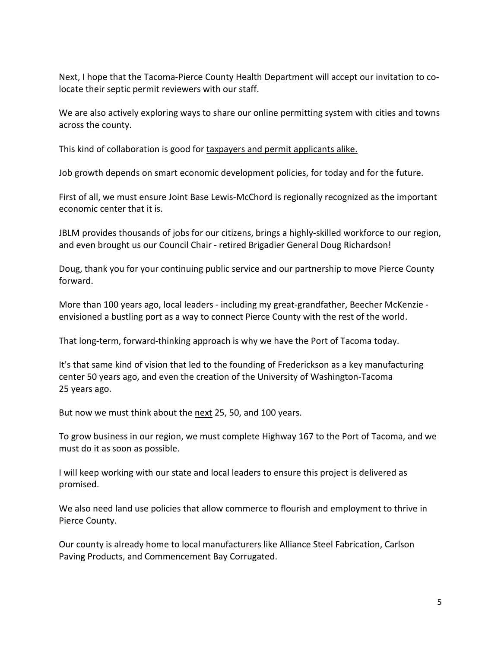Next, I hope that the Tacoma-Pierce County Health Department will accept our invitation to colocate their septic permit reviewers with our staff.

We are also actively exploring ways to share our online permitting system with cities and towns across the county.

This kind of collaboration is good for taxpayers and permit applicants alike.

Job growth depends on smart economic development policies, for today and for the future.

First of all, we must ensure Joint Base Lewis-McChord is regionally recognized as the important economic center that it is.

JBLM provides thousands of jobs for our citizens, brings a highly-skilled workforce to our region, and even brought us our Council Chair - retired Brigadier General Doug Richardson!

Doug, thank you for your continuing public service and our partnership to move Pierce County forward.

More than 100 years ago, local leaders - including my great-grandfather, Beecher McKenzie envisioned a bustling port as a way to connect Pierce County with the rest of the world.

That long-term, forward-thinking approach is why we have the Port of Tacoma today.

It's that same kind of vision that led to the founding of Frederickson as a key manufacturing center 50 years ago, and even the creation of the University of Washington-Tacoma 25 years ago.

But now we must think about the next 25, 50, and 100 years.

To grow business in our region, we must complete Highway 167 to the Port of Tacoma, and we must do it as soon as possible.

I will keep working with our state and local leaders to ensure this project is delivered as promised.

We also need land use policies that allow commerce to flourish and employment to thrive in Pierce County.

Our county is already home to local manufacturers like Alliance Steel Fabrication, Carlson Paving Products, and Commencement Bay Corrugated.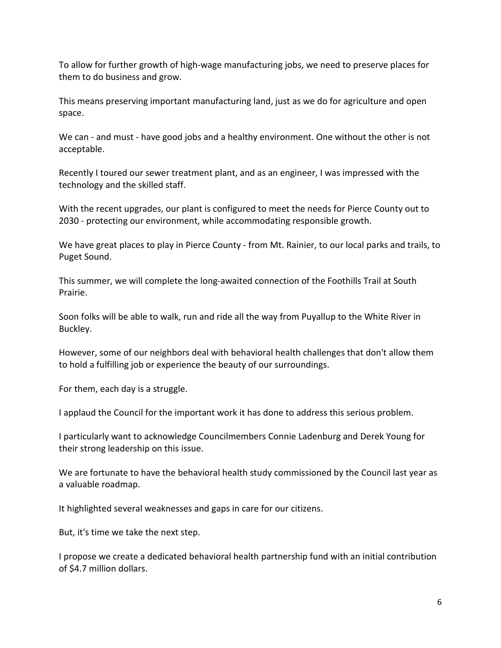To allow for further growth of high-wage manufacturing jobs, we need to preserve places for them to do business and grow.

This means preserving important manufacturing land, just as we do for agriculture and open space.

We can - and must - have good jobs and a healthy environment. One without the other is not acceptable.

Recently I toured our sewer treatment plant, and as an engineer, I was impressed with the technology and the skilled staff.

With the recent upgrades, our plant is configured to meet the needs for Pierce County out to 2030 - protecting our environment, while accommodating responsible growth.

We have great places to play in Pierce County - from Mt. Rainier, to our local parks and trails, to Puget Sound.

This summer, we will complete the long-awaited connection of the Foothills Trail at South Prairie.

Soon folks will be able to walk, run and ride all the way from Puyallup to the White River in Buckley.

However, some of our neighbors deal with behavioral health challenges that don't allow them to hold a fulfilling job or experience the beauty of our surroundings.

For them, each day is a struggle.

I applaud the Council for the important work it has done to address this serious problem.

I particularly want to acknowledge Councilmembers Connie Ladenburg and Derek Young for their strong leadership on this issue.

We are fortunate to have the behavioral health study commissioned by the Council last year as a valuable roadmap.

It highlighted several weaknesses and gaps in care for our citizens.

But, it's time we take the next step.

I propose we create a dedicated behavioral health partnership fund with an initial contribution of \$4.7 million dollars.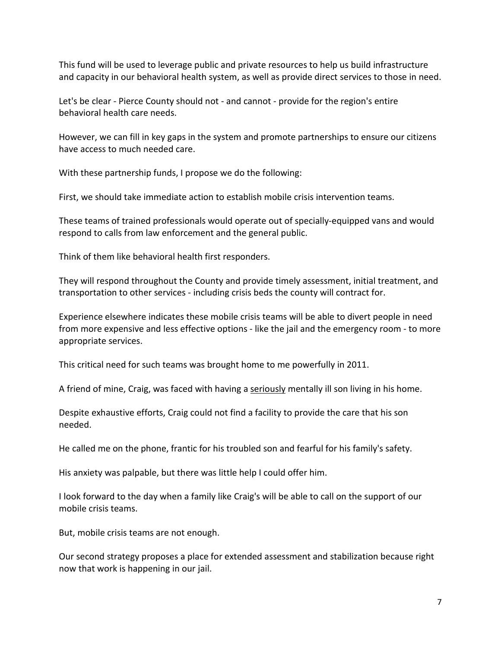This fund will be used to leverage public and private resources to help us build infrastructure and capacity in our behavioral health system, as well as provide direct services to those in need.

Let's be clear - Pierce County should not - and cannot - provide for the region's entire behavioral health care needs.

However, we can fill in key gaps in the system and promote partnerships to ensure our citizens have access to much needed care.

With these partnership funds, I propose we do the following:

First, we should take immediate action to establish mobile crisis intervention teams.

These teams of trained professionals would operate out of specially-equipped vans and would respond to calls from law enforcement and the general public.

Think of them like behavioral health first responders.

They will respond throughout the County and provide timely assessment, initial treatment, and transportation to other services - including crisis beds the county will contract for.

Experience elsewhere indicates these mobile crisis teams will be able to divert people in need from more expensive and less effective options - like the jail and the emergency room - to more appropriate services.

This critical need for such teams was brought home to me powerfully in 2011.

A friend of mine, Craig, was faced with having a seriously mentally ill son living in his home.

Despite exhaustive efforts, Craig could not find a facility to provide the care that his son needed.

He called me on the phone, frantic for his troubled son and fearful for his family's safety.

His anxiety was palpable, but there was little help I could offer him.

I look forward to the day when a family like Craig's will be able to call on the support of our mobile crisis teams.

But, mobile crisis teams are not enough.

Our second strategy proposes a place for extended assessment and stabilization because right now that work is happening in our jail.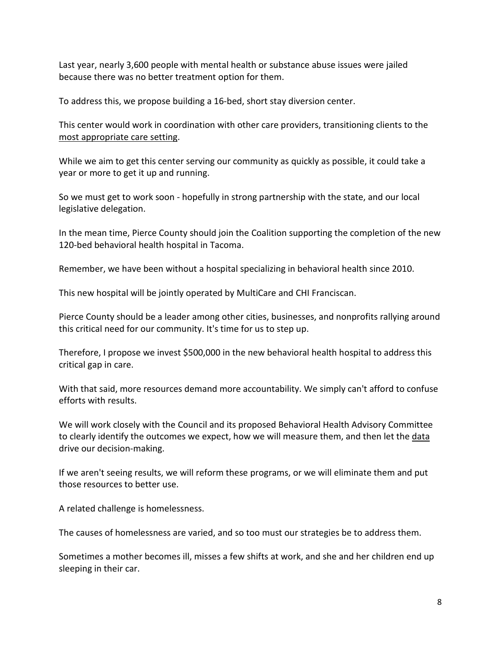Last year, nearly 3,600 people with mental health or substance abuse issues were jailed because there was no better treatment option for them.

To address this, we propose building a 16-bed, short stay diversion center.

This center would work in coordination with other care providers, transitioning clients to the most appropriate care setting.

While we aim to get this center serving our community as quickly as possible, it could take a year or more to get it up and running.

So we must get to work soon - hopefully in strong partnership with the state, and our local legislative delegation.

In the mean time, Pierce County should join the Coalition supporting the completion of the new 120-bed behavioral health hospital in Tacoma.

Remember, we have been without a hospital specializing in behavioral health since 2010.

This new hospital will be jointly operated by MultiCare and CHI Franciscan.

Pierce County should be a leader among other cities, businesses, and nonprofits rallying around this critical need for our community. It's time for us to step up.

Therefore, I propose we invest \$500,000 in the new behavioral health hospital to address this critical gap in care.

With that said, more resources demand more accountability. We simply can't afford to confuse efforts with results.

We will work closely with the Council and its proposed Behavioral Health Advisory Committee to clearly identify the outcomes we expect, how we will measure them, and then let the data drive our decision-making.

If we aren't seeing results, we will reform these programs, or we will eliminate them and put those resources to better use.

A related challenge is homelessness.

The causes of homelessness are varied, and so too must our strategies be to address them.

Sometimes a mother becomes ill, misses a few shifts at work, and she and her children end up sleeping in their car.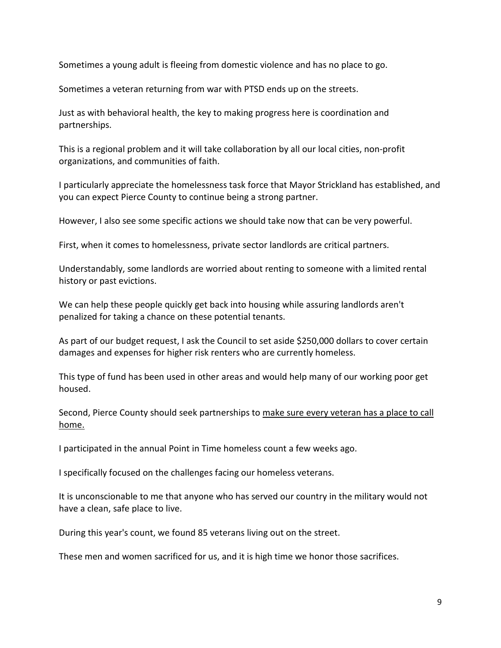Sometimes a young adult is fleeing from domestic violence and has no place to go.

Sometimes a veteran returning from war with PTSD ends up on the streets.

Just as with behavioral health, the key to making progress here is coordination and partnerships.

This is a regional problem and it will take collaboration by all our local cities, non-profit organizations, and communities of faith.

I particularly appreciate the homelessness task force that Mayor Strickland has established, and you can expect Pierce County to continue being a strong partner.

However, I also see some specific actions we should take now that can be very powerful.

First, when it comes to homelessness, private sector landlords are critical partners.

Understandably, some landlords are worried about renting to someone with a limited rental history or past evictions.

We can help these people quickly get back into housing while assuring landlords aren't penalized for taking a chance on these potential tenants.

As part of our budget request, I ask the Council to set aside \$250,000 dollars to cover certain damages and expenses for higher risk renters who are currently homeless.

This type of fund has been used in other areas and would help many of our working poor get housed.

Second, Pierce County should seek partnerships to make sure every veteran has a place to call home.

I participated in the annual Point in Time homeless count a few weeks ago.

I specifically focused on the challenges facing our homeless veterans.

It is unconscionable to me that anyone who has served our country in the military would not have a clean, safe place to live.

During this year's count, we found 85 veterans living out on the street.

These men and women sacrificed for us, and it is high time we honor those sacrifices.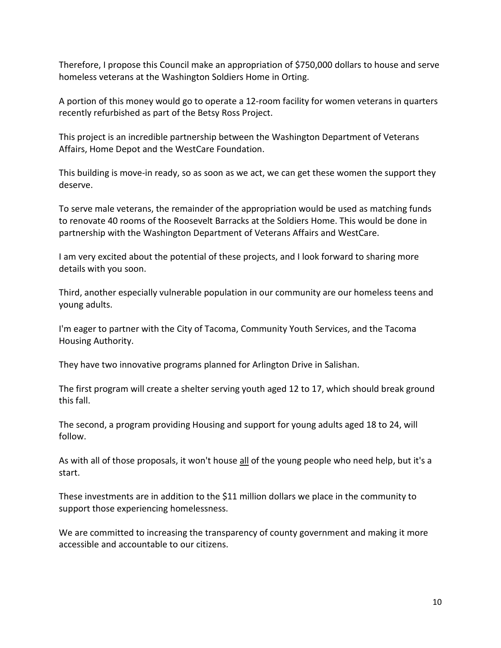Therefore, I propose this Council make an appropriation of \$750,000 dollars to house and serve homeless veterans at the Washington Soldiers Home in Orting.

A portion of this money would go to operate a 12-room facility for women veterans in quarters recently refurbished as part of the Betsy Ross Project.

This project is an incredible partnership between the Washington Department of Veterans Affairs, Home Depot and the WestCare Foundation.

This building is move-in ready, so as soon as we act, we can get these women the support they deserve.

To serve male veterans, the remainder of the appropriation would be used as matching funds to renovate 40 rooms of the Roosevelt Barracks at the Soldiers Home. This would be done in partnership with the Washington Department of Veterans Affairs and WestCare.

I am very excited about the potential of these projects, and I look forward to sharing more details with you soon.

Third, another especially vulnerable population in our community are our homeless teens and young adults.

I'm eager to partner with the City of Tacoma, Community Youth Services, and the Tacoma Housing Authority.

They have two innovative programs planned for Arlington Drive in Salishan.

The first program will create a shelter serving youth aged 12 to 17, which should break ground this fall.

The second, a program providing Housing and support for young adults aged 18 to 24, will follow.

As with all of those proposals, it won't house all of the young people who need help, but it's a start.

These investments are in addition to the \$11 million dollars we place in the community to support those experiencing homelessness.

We are committed to increasing the transparency of county government and making it more accessible and accountable to our citizens.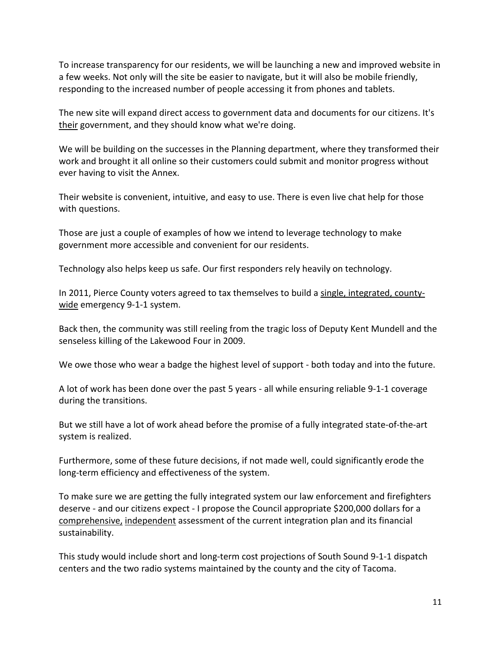To increase transparency for our residents, we will be launching a new and improved website in a few weeks. Not only will the site be easier to navigate, but it will also be mobile friendly, responding to the increased number of people accessing it from phones and tablets.

The new site will expand direct access to government data and documents for our citizens. It's their government, and they should know what we're doing.

We will be building on the successes in the Planning department, where they transformed their work and brought it all online so their customers could submit and monitor progress without ever having to visit the Annex.

Their website is convenient, intuitive, and easy to use. There is even live chat help for those with questions.

Those are just a couple of examples of how we intend to leverage technology to make government more accessible and convenient for our residents.

Technology also helps keep us safe. Our first responders rely heavily on technology.

In 2011, Pierce County voters agreed to tax themselves to build a single, integrated, countywide emergency 9-1-1 system.

Back then, the community was still reeling from the tragic loss of Deputy Kent Mundell and the senseless killing of the Lakewood Four in 2009.

We owe those who wear a badge the highest level of support - both today and into the future.

A lot of work has been done over the past 5 years - all while ensuring reliable 9-1-1 coverage during the transitions.

But we still have a lot of work ahead before the promise of a fully integrated state-of-the-art system is realized.

Furthermore, some of these future decisions, if not made well, could significantly erode the long-term efficiency and effectiveness of the system.

To make sure we are getting the fully integrated system our law enforcement and firefighters deserve - and our citizens expect - I propose the Council appropriate \$200,000 dollars for a comprehensive, independent assessment of the current integration plan and its financial sustainability.

This study would include short and long-term cost projections of South Sound 9-1-1 dispatch centers and the two radio systems maintained by the county and the city of Tacoma.